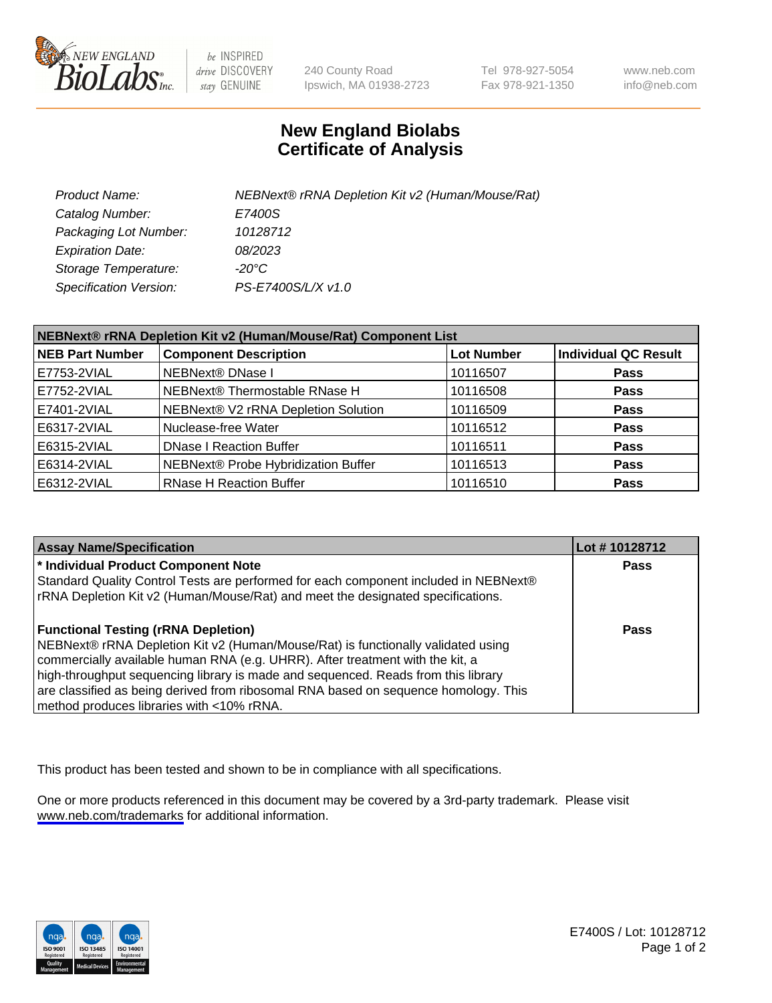

be INSPIRED drive DISCOVERY stay GENUINE

240 County Road Ipswich, MA 01938-2723 Tel 978-927-5054 Fax 978-921-1350

www.neb.com info@neb.com

## **New England Biolabs Certificate of Analysis**

| Product Name:                 | NEBNext® rRNA Depletion Kit v2 (Human/Mouse/Rat) |
|-------------------------------|--------------------------------------------------|
| Catalog Number:               | E7400S                                           |
| Packaging Lot Number:         | 10128712                                         |
| <b>Expiration Date:</b>       | 08/2023                                          |
| Storage Temperature:          | -20°C                                            |
| <b>Specification Version:</b> | PS-E7400S/L/X v1.0                               |

| NEBNext® rRNA Depletion Kit v2 (Human/Mouse/Rat) Component List |                                     |                   |                             |  |
|-----------------------------------------------------------------|-------------------------------------|-------------------|-----------------------------|--|
| <b>NEB Part Number</b>                                          | <b>Component Description</b>        | <b>Lot Number</b> | <b>Individual QC Result</b> |  |
| E7753-2VIAL                                                     | <b>NEBNext® DNase I</b>             | 10116507          | <b>Pass</b>                 |  |
| E7752-2VIAL                                                     | NEBNext® Thermostable RNase H       | 10116508          | <b>Pass</b>                 |  |
| E7401-2VIAL                                                     | NEBNext® V2 rRNA Depletion Solution | 10116509          | <b>Pass</b>                 |  |
| E6317-2VIAL                                                     | Nuclease-free Water                 | 10116512          | <b>Pass</b>                 |  |
| E6315-2VIAL                                                     | <b>DNase I Reaction Buffer</b>      | 10116511          | <b>Pass</b>                 |  |
| E6314-2VIAL                                                     | NEBNext® Probe Hybridization Buffer | 10116513          | <b>Pass</b>                 |  |
| E6312-2VIAL                                                     | <b>RNase H Reaction Buffer</b>      | 10116510          | <b>Pass</b>                 |  |

| <b>Assay Name/Specification</b>                                                      | Lot # 10128712 |
|--------------------------------------------------------------------------------------|----------------|
| * Individual Product Component Note                                                  | <b>Pass</b>    |
| Standard Quality Control Tests are performed for each component included in NEBNext® |                |
| rRNA Depletion Kit v2 (Human/Mouse/Rat) and meet the designated specifications.      |                |
| <b>Functional Testing (rRNA Depletion)</b>                                           | Pass           |
| NEBNext® rRNA Depletion Kit v2 (Human/Mouse/Rat) is functionally validated using     |                |
| commercially available human RNA (e.g. UHRR). After treatment with the kit, a        |                |
| high-throughput sequencing library is made and sequenced. Reads from this library    |                |
| are classified as being derived from ribosomal RNA based on sequence homology. This  |                |
| method produces libraries with <10% rRNA.                                            |                |

This product has been tested and shown to be in compliance with all specifications.

One or more products referenced in this document may be covered by a 3rd-party trademark. Please visit <www.neb.com/trademarks>for additional information.